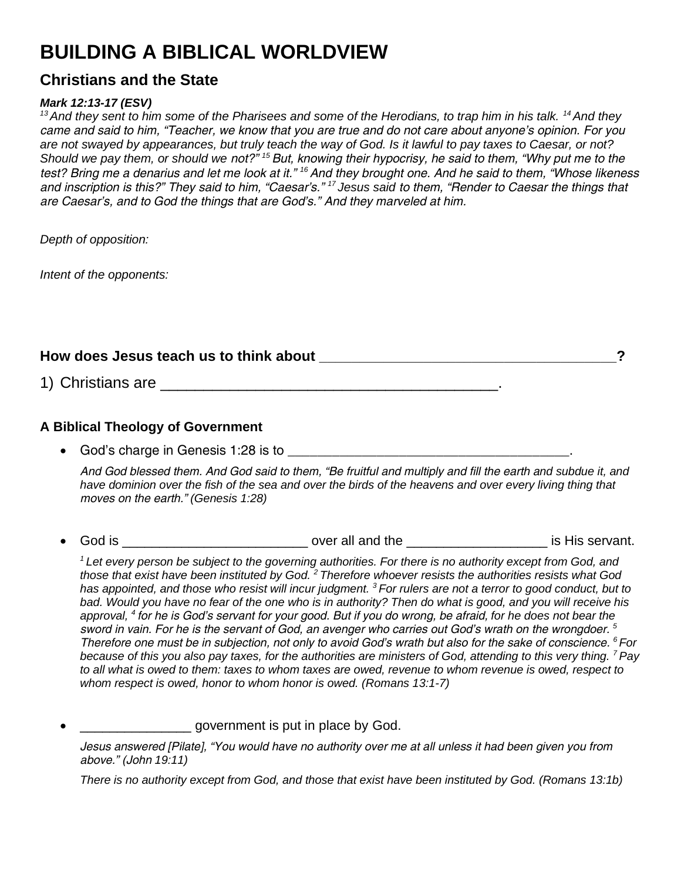# **BUILDING A BIBLICAL WORLDVIEW**

### **Christians and the State**

#### *Mark 12:13-17 (ESV)*

*<sup>13</sup>And they sent to him some of the Pharisees and some of the Herodians, to trap him in his talk. <sup>14</sup>And they came and said to him, "Teacher, we know that you are true and do not care about anyone's opinion. For you are not swayed by appearances, but truly teach the way of God. Is it lawful to pay taxes to Caesar, or not? Should we pay them, or should we not?" <sup>15</sup>But, knowing their hypocrisy, he said to them, "Why put me to the test? Bring me a denarius and let me look at it." <sup>16</sup>And they brought one. And he said to them, "Whose likeness and inscription is this?" They said to him, "Caesar's." <sup>17</sup>Jesus said to them, "Render to Caesar the things that are Caesar's, and to God the things that are God's." And they marveled at him.*

*Depth of opposition:*

*Intent of the opponents:*

How does Jesus teach us to think about **the contract of the set of the set of the set of the set of the set of th** 

1) Christians are **all the set of the set of the set of the set of the set of the set of the set of the set of the set of the set of the set of the set of the set of the set of the set of the set of the set of the set of t** 

#### **A Biblical Theology of Government**

God's charge in Genesis 1:28 is to  $\blacksquare$ 

*And God blessed them. And God said to them, "Be fruitful and multiply and fill the earth and subdue it, and have dominion over the fish of the sea and over the birds of the heavens and over every living thing that moves on the earth." (Genesis 1:28)*

God is \_\_\_\_\_\_\_\_\_\_\_\_\_\_\_\_\_\_\_\_\_\_\_\_\_\_\_\_\_\_\_\_\_ over all and the \_\_\_\_\_\_\_\_\_\_\_\_\_\_\_\_\_\_\_\_\_\_\_\_\_\_\_\_ is His servant.

*<sup>1</sup>Let every person be subject to the governing authorities. For there is no authority except from God, and those that exist have been instituted by God. <sup>2</sup>Therefore whoever resists the authorities resists what God has appointed, and those who resist will incur judgment. <sup>3</sup>For rulers are not a terror to good conduct, but to bad. Would you have no fear of the one who is in authority? Then do what is good, and you will receive his approval, <sup>4</sup>for he is God's servant for your good. But if you do wrong, be afraid, for he does not bear the sword in vain. For he is the servant of God, an avenger who carries out God's wrath on the wrongdoer. <sup>5</sup> Therefore one must be in subjection, not only to avoid God's wrath but also for the sake of conscience. <sup>6</sup>For because of this you also pay taxes, for the authorities are ministers of God, attending to this very thing. <sup>7</sup>Pay to all what is owed to them: taxes to whom taxes are owed, revenue to whom revenue is owed, respect to whom respect is owed, honor to whom honor is owed. (Romans 13:1-7)*

\_\_\_\_\_\_\_\_\_\_\_\_\_\_\_ government is put in place by God.

*Jesus answered [Pilate], "You would have no authority over me at all unless it had been given you from above." (John 19:11)*

*There is no authority except from God, and those that exist have been instituted by God. (Romans 13:1b)*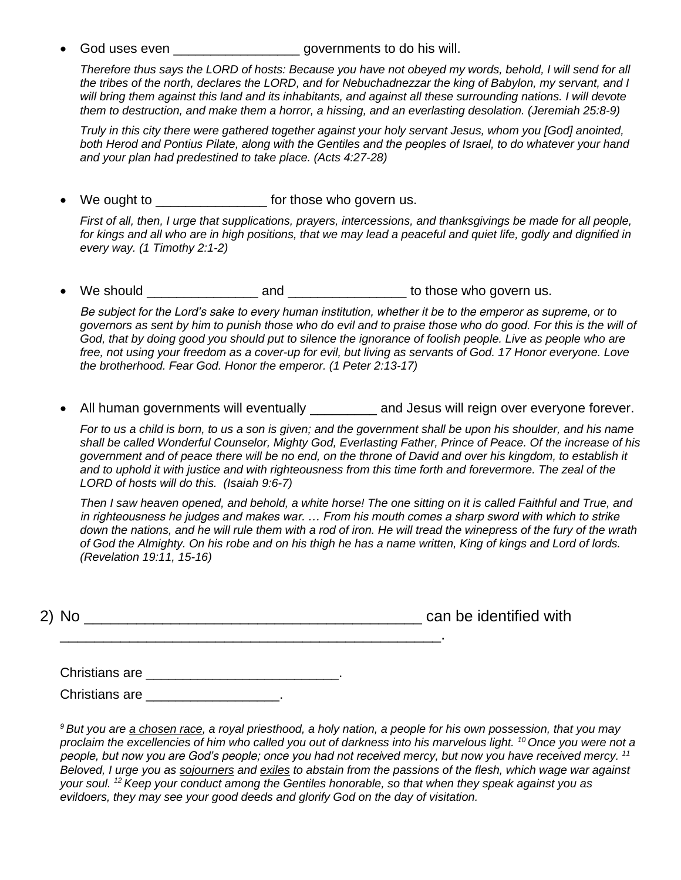God uses even \_\_\_\_\_\_\_\_\_\_\_\_\_\_\_\_\_\_\_\_\_\_governments to do his will.

*Therefore thus says the LORD of hosts: Because you have not obeyed my words, behold, I will send for all the tribes of the north, declares the LORD, and for Nebuchadnezzar the king of Babylon, my servant, and I*  will bring them against this land and its inhabitants, and against all these surrounding nations. I will devote *them to destruction, and make them a horror, a hissing, and an everlasting desolation. (Jeremiah 25:8-9)*

*Truly in this city there were gathered together against your holy servant Jesus, whom you [God] anointed, both Herod and Pontius Pilate, along with the Gentiles and the peoples of Israel, to do whatever your hand and your plan had predestined to take place. (Acts 4:27-28)*

We ought to **Example 20** for those who govern us.

*First of all, then, I urge that supplications, prayers, intercessions, and thanksgivings be made for all people, for kings and all who are in high positions, that we may lead a peaceful and quiet life, godly and dignified in every way. (1 Timothy 2:1-2)*

We should and and those who govern us.

*Be subject for the Lord's sake to every human institution, whether it be to the emperor as supreme, or to governors as sent by him to punish those who do evil and to praise those who do good. For this is the will of God, that by doing good you should put to silence the ignorance of foolish people. Live as people who are free, not using your freedom as a cover-up for evil, but living as servants of God. 17 Honor everyone. Love the brotherhood. Fear God. Honor the emperor. (1 Peter 2:13-17)*

All human governments will eventually \_\_\_\_\_\_\_\_\_ and Jesus will reign over everyone forever.

*For to us a child is born, to us a son is given; and the government shall be upon his shoulder, and his name shall be called Wonderful Counselor, Mighty God, Everlasting Father, Prince of Peace. Of the increase of his government and of peace there will be no end, on the throne of David and over his kingdom, to establish it and to uphold it with justice and with righteousness from this time forth and forevermore. The zeal of the LORD of hosts will do this. (Isaiah 9:6-7)*

*Then I saw heaven opened, and behold, a white horse! The one sitting on it is called Faithful and True, and in righteousness he judges and makes war. … From his mouth comes a sharp sword with which to strike down the nations, and he will rule them with a rod of iron. He will tread the winepress of the fury of the wrath of God the Almighty. On his robe and on his thigh he has a name written, King of kings and Lord of lords. (Revelation 19:11, 15-16)*

| 2) No | can be identified with |
|-------|------------------------|
|       |                        |

\_\_\_\_\_\_\_\_\_\_\_\_\_\_\_\_\_\_\_\_\_\_\_\_\_\_\_\_\_\_\_\_\_\_\_\_\_\_\_\_\_\_\_\_.

| Christians are |  |
|----------------|--|
|                |  |

Christians are **Executive Structure** 

*<sup>9</sup>But you are a chosen race, a royal priesthood, a holy nation, a people for his own possession, that you may proclaim the excellencies of him who called you out of darkness into his marvelous light. <sup>10</sup>Once you were not a people, but now you are God's people; once you had not received mercy, but now you have received mercy. <sup>11</sup> Beloved, I urge you as sojourners and exiles to abstain from the passions of the flesh, which wage war against your soul. <sup>12</sup>Keep your conduct among the Gentiles honorable, so that when they speak against you as evildoers, they may see your good deeds and glorify God on the day of visitation.*